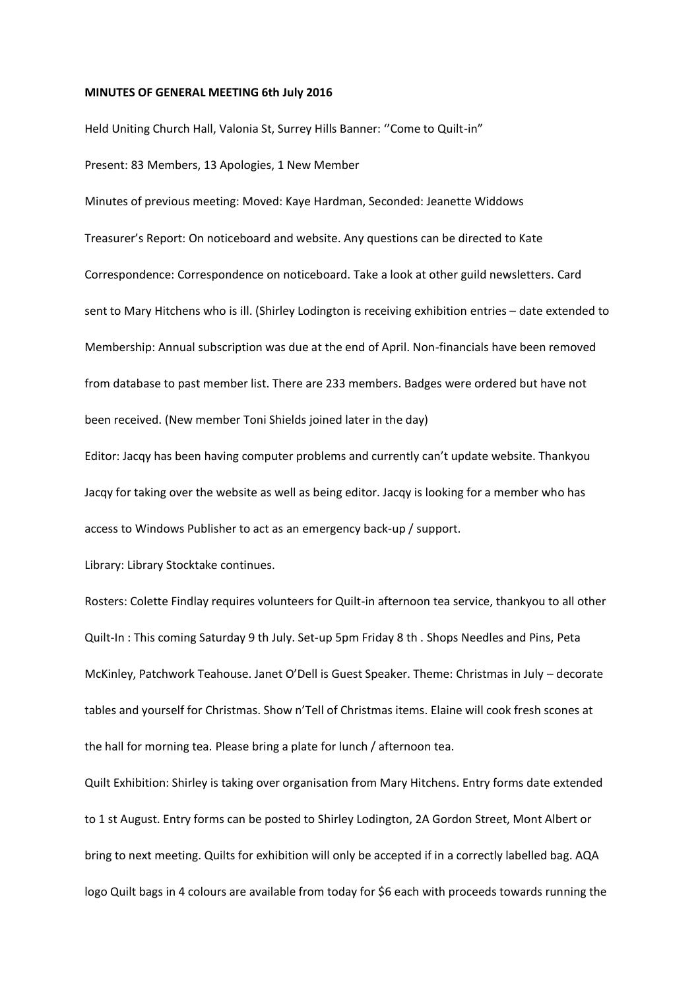## **MINUTES OF GENERAL MEETING 6th July 2016**

Held Uniting Church Hall, Valonia St, Surrey Hills Banner: ''Come to Quilt-in" Present: 83 Members, 13 Apologies, 1 New Member

Minutes of previous meeting: Moved: Kaye Hardman, Seconded: Jeanette Widdows Treasurer's Report: On noticeboard and website. Any questions can be directed to Kate Correspondence: Correspondence on noticeboard. Take a look at other guild newsletters. Card sent to Mary Hitchens who is ill. (Shirley Lodington is receiving exhibition entries – date extended to Membership: Annual subscription was due at the end of April. Non-financials have been removed from database to past member list. There are 233 members. Badges were ordered but have not been received. (New member Toni Shields joined later in the day)

Editor: Jacqy has been having computer problems and currently can't update website. Thankyou Jacqy for taking over the website as well as being editor. Jacqy is looking for a member who has access to Windows Publisher to act as an emergency back-up / support.

Library: Library Stocktake continues.

Rosters: Colette Findlay requires volunteers for Quilt-in afternoon tea service, thankyou to all other Quilt-In : This coming Saturday 9 th July. Set-up 5pm Friday 8 th . Shops Needles and Pins, Peta McKinley, Patchwork Teahouse. Janet O'Dell is Guest Speaker. Theme: Christmas in July – decorate tables and yourself for Christmas. Show n'Tell of Christmas items. Elaine will cook fresh scones at the hall for morning tea. Please bring a plate for lunch / afternoon tea.

Quilt Exhibition: Shirley is taking over organisation from Mary Hitchens. Entry forms date extended to 1 st August. Entry forms can be posted to Shirley Lodington, 2A Gordon Street, Mont Albert or bring to next meeting. Quilts for exhibition will only be accepted if in a correctly labelled bag. AQA logo Quilt bags in 4 colours are available from today for \$6 each with proceeds towards running the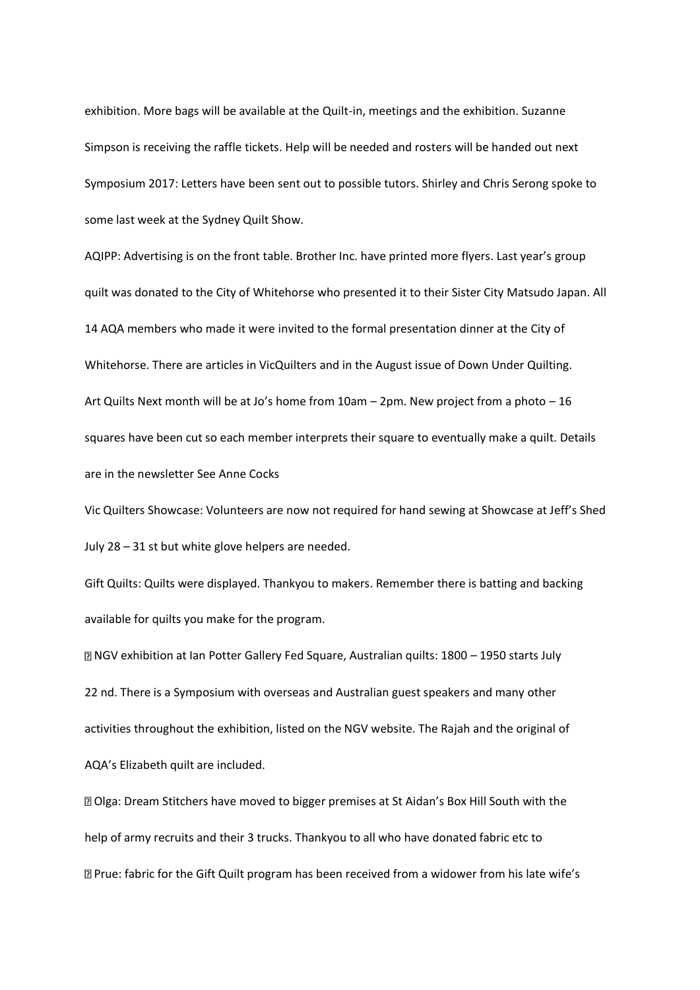exhibition. More bags will be available at the Quilt-in, meetings and the exhibition. Suzanne Simpson is receiving the raffle tickets. Help will be needed and rosters will be handed out next Symposium 2017: Letters have been sent out to possible tutors. Shirley and Chris Serong spoke to some last week at the Sydney Quilt Show.

AQIPP: Advertising is on the front table. Brother Inc. have printed more flyers. Last year's group quilt was donated to the City of Whitehorse who presented it to their Sister City Matsudo Japan. All 14 AQA members who made it were invited to the formal presentation dinner at the City of Whitehorse. There are articles in VicQuilters and in the August issue of Down Under Quilting. Art Quilts Next month will be at Jo's home from 10am – 2pm. New project from a photo – 16 squares have been cut so each member interprets their square to eventually make a quilt. Details are in the newsletter See Anne Cocks

Vic Quilters Showcase: Volunteers are now not required for hand sewing at Showcase at Jeff's Shed July 28 – 31 st but white glove helpers are needed.

Gift Quilts: Quilts were displayed. Thankyou to makers. Remember there is batting and backing available for quilts you make for the program.

NGV exhibition at Ian Potter Gallery Fed Square, Australian quilts: 1800 – 1950 starts July 22 nd. There is a Symposium with overseas and Australian guest speakers and many other activities throughout the exhibition, listed on the NGV website. The Rajah and the original of AQA's Elizabeth quilt are included.

Olga: Dream Stitchers have moved to bigger premises at St Aidan's Box Hill South with the help of army recruits and their 3 trucks. Thankyou to all who have donated fabric etc to Prue: fabric for the Gift Quilt program has been received from a widower from his late wife's